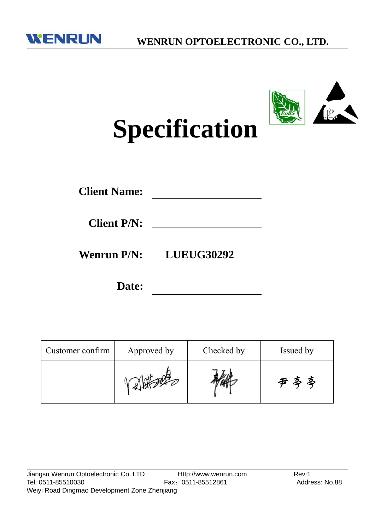



# **Specification**

**Wenrun P/N: LUEUG30292**

**Date:**

| Customer confirm | Approved by | Checked by | Issued by |  |
|------------------|-------------|------------|-----------|--|
|                  |             |            | 尹亭亭       |  |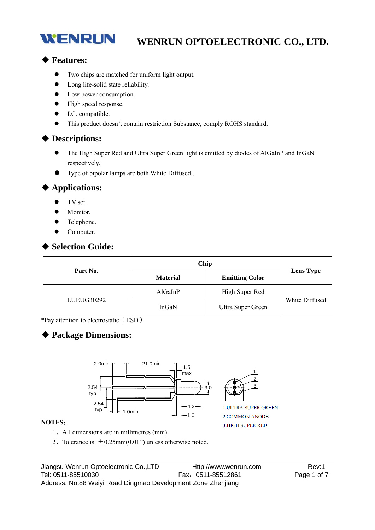# **WENRUN OPTOELECTRONIC CO., LTD.**

#### ◆ **Features:**

WENRUN

- Two chips are matched for uniform light output.
- Long life-solid state reliability.
- Low power consumption.
- $\bullet$  High speed response.
- $\bullet$  I.C. compatible.
- This product doesn't contain restriction Substance, comply ROHS standard.

#### ◆ **Descriptions:**

- The High Super Red and Ultra Super Green light is emitted by diodes of AlGaInP and InGaN respectively.
- Type of bipolar lamps are both White Diffused..

#### ◆ **Applications:**

- $\bullet$  TV set.
- Monitor.
- Telephone.
- Computer.

## ◆ **Selection Guide:**

| Part No.   | Chip            | <b>Lens Type</b>      |                |  |
|------------|-----------------|-----------------------|----------------|--|
|            | <b>Material</b> | <b>Emitting Color</b> |                |  |
|            | AlGaInP         | High Super Red        |                |  |
| LUEUG30292 | InGaN           | Ultra Super Green     | White Diffused |  |

\*Pay attention to electrostatic(ESD)

## ◆ **Package Dimensions:**



#### **NOTES**:

- 1、All dimensions are in millimetres (mm).
- 2. Tolerance is  $\pm 0.25$ mm $(0.01)$ " unless otherwise noted.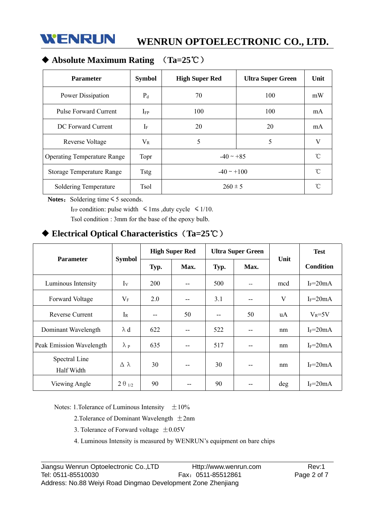

# ◆ **Absolute Maximum Rating** (**Ta=25**℃)

| <b>Parameter</b>                   | <b>Symbol</b> | <b>High Super Red</b> | <b>Ultra Super Green</b> | Unit |
|------------------------------------|---------------|-----------------------|--------------------------|------|
| Power Dissipation                  | $P_d$         | 70                    | 100                      | mW   |
| Pulse Forward Current              | $I_{FP}$      | 100                   | 100                      | mA   |
| DC Forward Current                 | $I_F$         | 20                    | 20                       | mA   |
| Reverse Voltage                    | $\rm V_R$     | 5                     | 5                        | V    |
| <b>Operating Temperature Range</b> | Topr          | $-40 \sim +85$        |                          | °C   |
| Storage Temperature Range          | <b>Tstg</b>   | $-40 \sim +100$       | °C                       |      |
| Soldering Temperature              | <b>Tsol</b>   | $260 \pm 5$           | n                        |      |

Notes: Soldering time ≤ 5 seconds.

I<sub>FP</sub> condition: pulse width  $\leq 1$ ms ,duty cycle  $\leq 1/10$ . Tsol condition : 3mm for the base of the epoxy bulb.

## ◆ **Electrical Optical Characteristics**(**Ta=25**℃)

| <b>Parameter</b>            | <b>Symbol</b>    | <b>High Super Red</b> |       | <b>Ultra Super Green</b> |       |      | <b>Test</b>      |
|-----------------------------|------------------|-----------------------|-------|--------------------------|-------|------|------------------|
|                             |                  | Typ.                  | Max.  | Typ.                     | Max.  | Unit | <b>Condition</b> |
| Luminous Intensity          | $I_{V}$          | 200                   | $- -$ | 500                      | $-$   | mcd  | $I_F = 20mA$     |
| Forward Voltage             | $V_{\rm F}$      | 2.0                   | $-$   | 3.1                      | $- -$ | V    | $I_F = 20mA$     |
| <b>Reverse Current</b>      | $I_{R}$          | --                    | 50    | $- -$                    | 50    | uA   | $V_R = 5V$       |
| Dominant Wavelength         | $\lambda$ d      | 622                   | --    | 522                      | $- -$ | nm   | $I_F = 20mA$     |
| Peak Emission Wavelength    | $\lambda$ p      | 635                   | --    | 517                      | $- -$ | nm   | $I_F = 20mA$     |
| Spectral Line<br>Half Width | Δλ               | 30                    | $-$   | 30                       | $-$   | nm   | $I_F = 20mA$     |
| Viewing Angle               | $2 \theta_{1/2}$ | 90                    |       | 90                       | --    | deg  | $I_F = 20mA$     |

Notes: 1. Tolerance of Luminous Intensity  $\pm 10\%$ 

2. Tolerance of Dominant Wavelength  $\pm 2$ nm

3. Tolerance of Forward voltage  $\pm 0.05$ V

4. Luminous Intensity is measured by WENRUN's equipment on bare chips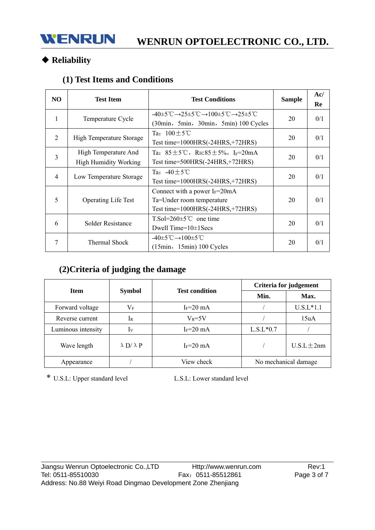# ◆ **Reliability**

## **(1) Test Items and Conditions**

| N <sub>O</sub> | <b>Test Item</b>                                     | <b>Test Conditions</b>                                                                                                                                                       | <b>Sample</b> | Ac/<br>Re |
|----------------|------------------------------------------------------|------------------------------------------------------------------------------------------------------------------------------------------------------------------------------|---------------|-----------|
| 1              | Temperature Cycle                                    | $-40\pm5^{\circ}\text{C} \rightarrow 25\pm5^{\circ}\text{C} \rightarrow 100\pm5^{\circ}\text{C} \rightarrow 25\pm5^{\circ}\text{C}$<br>(30min, 5min, 30min, 5min) 100 Cycles | 20            | 0/1       |
| 2              | High Temperature Storage                             | Ta: $100+5^{\circ}$ C<br>Test time= $1000HRS(-24HRS,+72HRS)$                                                                                                                 | 20            | 0/1       |
| 3              | High Temperature And<br><b>High Humidity Working</b> | Ta: $85 \pm 5^{\circ}$ C, RH: $85 \pm 5\%$ , I <sub>F</sub> =20mA<br>Test time= $500HRS(-24HRS,+72HRS)$                                                                      | 20            | 0/1       |
| 4              | Low Temperature Storage                              | Ta: $-40+5^{\circ}$ C<br>Test time= $1000HRS(-24HRS,+72HRS)$                                                                                                                 | 20            | 0/1       |
| 5              | <b>Operating Life Test</b>                           | Connect with a power $I_F = 20 \text{mA}$<br>Ta=Under room temperature<br>Test time= $1000HRS(-24HRS,+72HRS)$                                                                | 20            | 0/1       |
| 6              | Solder Resistance                                    | $T.So=260\pm5^{\circ}C$ one time<br>Dwell Time= $10\pm1$ Secs                                                                                                                | 20            | 0/1       |
| 7              | Thermal Shock                                        | $-40\pm 5^{\circ}\text{C} \rightarrow 100\pm 5^{\circ}\text{C}$<br>$(15min, 15min) 100$ Cycles                                                                               | 20            | 0/1       |

# **(2)Criteria of judging the damage**

| <b>Item</b>        |                          | <b>Test condition</b> | Criteria for judgement |                 |  |
|--------------------|--------------------------|-----------------------|------------------------|-----------------|--|
|                    | <b>Symbol</b>            |                       | Min.                   | Max.            |  |
| Forward voltage    | $\rm V_F$                | $I_F = 20$ mA         |                        | $U.S.L*1.1$     |  |
| Reverse current    | $1_{R}$                  | $V_R = 5V$            |                        | 15uA            |  |
| Luminous intensity | Iv                       | $I_F = 20$ mA         | $L.S.L*0.7$            |                 |  |
| Wave length        | $\lambda$ D/ $\lambda$ P | $I_F = 20$ mA         |                        | $U.S.L \pm 2nm$ |  |
| Appearance         |                          | View check            | No mechanical damage   |                 |  |

\* U.S.L: Upper standard level L.S.L: Lower standard level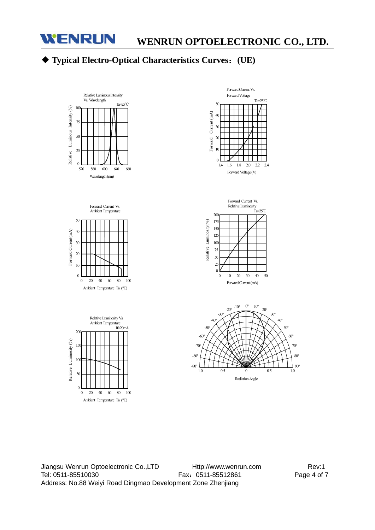

# ◆ **Typical Electro-Optical Characteristics Curves**:**(UE)**

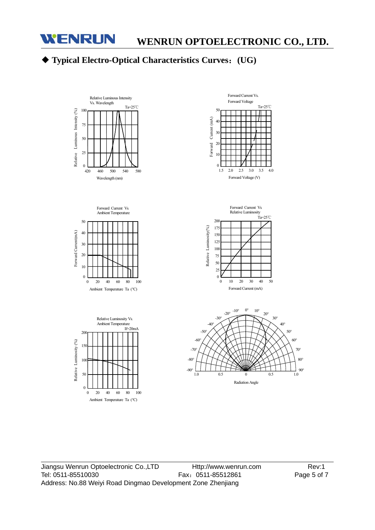

# ◆ **Typical Electro-Optical Characteristics Curves**:**(UG)**

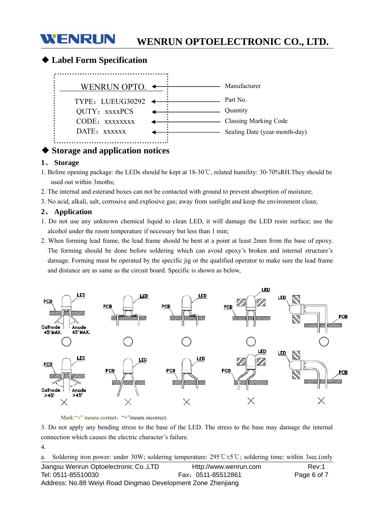

## ◆ **Label Form Specification**



## **Storage and application notices**

#### **1**、 **Storage**

- 1. Before opening package: the LEDs should be kept at 18-30℃, related humility: 30-70%RH.They should be used out within 3moths;
- 2. The internal and esterand boxes can not be contacted with ground to prevent absorption of moisture;
- 3. No acid, alkali, salt, corrosive and explosive gas; away from sunlight and keep the environment clean;

#### **2**、 **Application**

- 1. Do not use any unknown chemical liquid to clean LED, it will damage the LED resin surface; use the alcohol under the room temperature if necessary but less than 1 min;
- 2. When forming lead frame, the lead frame should be bent at a point at least 2mm from the base of epoxy. The forming should be done before soldering which can avoid epoxy's broken and internal structure's damage. Forming must be operated by the specific jig or the qualified operator to make sure the lead frame and distance are as same as the circuit board. Specific is shown as below,



Mark: "o" means correct, "×"means incorrect.

3. Do not apply any bending stress to the base of the LED. The stress to the base may damage the internal connection which causes the electric character's failure.

4.

Jiangsu Wenrun Optoelectronic Co.,LTD Http://www.wenrun.com Rev:1 Tel: 0511-85510030 Fax:0511-85512861 Page 6 of 7 Address: No.88 Weiyi Road Dingmao Development Zone Zhenjiang a. Soldering iron power: under 30W; soldering temperature: 295℃±5℃; soldering time: within 3sec.(only